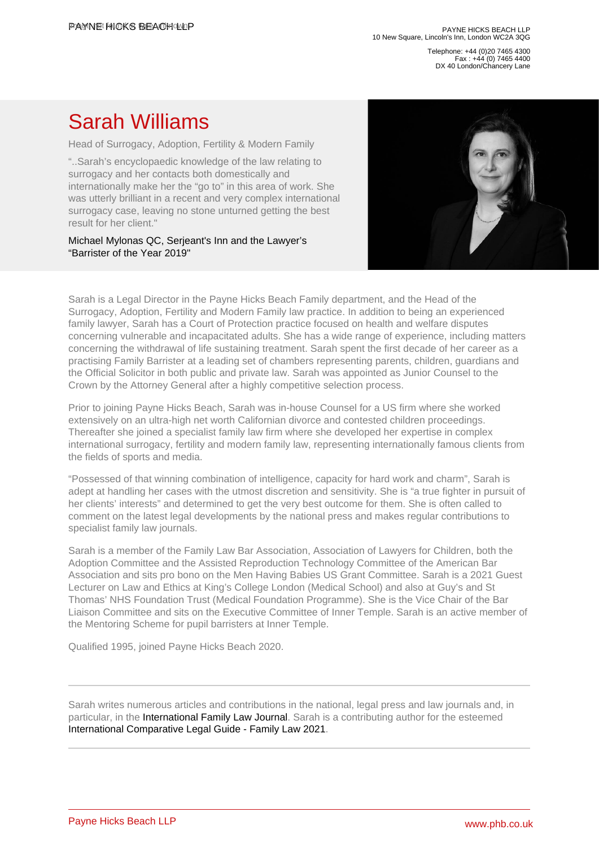Telephone: +44 (0)20 7465 4300 Fax : +44 (0) 7465 4400 DX 40 London/Chancery Lane

## Sarah Williams

Head of Surrogacy, Adoption, Fertility & Modern Family

"..Sarah's encyclopaedic knowledge of the law relating to surrogacy and her contacts both domestically and internationally make her the "go to" in this area of work. She was utterly brilliant in a recent and very complex international surrogacy case, leaving no stone unturned getting the best result for her client."

Michael Mylonas QC, Serjeant's Inn and the Lawyer's "Barrister of the Year 2019"

Sarah is a Legal Director in the Payne Hicks Beach Family department, and the Head of the Surrogacy, Adoption, Fertility and Modern Family law practice. In addition to being an experienced family lawyer, Sarah has a Court of Protection practice focused on health and welfare disputes concerning vulnerable and incapacitated adults. She has a wide range of experience, including matters concerning the withdrawal of life sustaining treatment. Sarah spent the first decade of her career as a practising Family Barrister at a leading set of chambers representing parents, children, guardians and the Official Solicitor in both public and private law. Sarah was appointed as Junior Counsel to the Crown by the Attorney General after a highly competitive selection process.

Prior to joining Payne Hicks Beach, Sarah was in-house Counsel for a US firm where she worked extensively on an ultra-high net worth Californian divorce and contested children proceedings. Thereafter she joined a specialist family law firm where she developed her expertise in complex international surrogacy, fertility and modern family law, representing internationally famous clients from the fields of sports and media.

"Possessed of that winning combination of intelligence, capacity for hard work and charm", Sarah is adept at handling her cases with the utmost discretion and sensitivity. She is "a true fighter in pursuit of her clients' interests" and determined to get the very best outcome for them. She is often called to comment on the latest legal developments by the national press and makes regular contributions to specialist family law journals.

Sarah is a member of the Family Law Bar Association, Association of Lawyers for Children, both the Adoption Committee and the Assisted Reproduction Technology Committee of the American Bar Association and sits pro bono on the Men Having Babies US Grant Committee. Sarah is a 2021 Guest Lecturer on Law and Ethics at King's College London (Medical School) and also at Guy's and St Thomas' NHS Foundation Trust (Medical Foundation Programme). She is the Vice Chair of the Bar Liaison Committee and sits on the Executive Committee of Inner Temple. Sarah is an active member of the Mentoring Scheme for pupil barristers at Inner Temple.

Qualified 1995, joined Payne Hicks Beach 2020.

Sarah writes numerous articles and contributions in the national, legal press and law journals and, in particular, in the [International Family Law Journal.](�� h t t p : / / p h b . u k / D o c u m e n t s / F a m i l y L a w S a r a h W i l l i a m s 2 0 1 9 . p d f) Sarah is a contributing author for the esteemed [International Comparative Legal Guide - Family Law 2021.](�� h t t p s : / / i c l g . c o m / p r a c t i c e - a r e a s / f a m i l y - l a w s - a n d - r e g u l a t i o n s / 3 - s u r r o g a c y - w h e r e - a r e - w e - n o w)